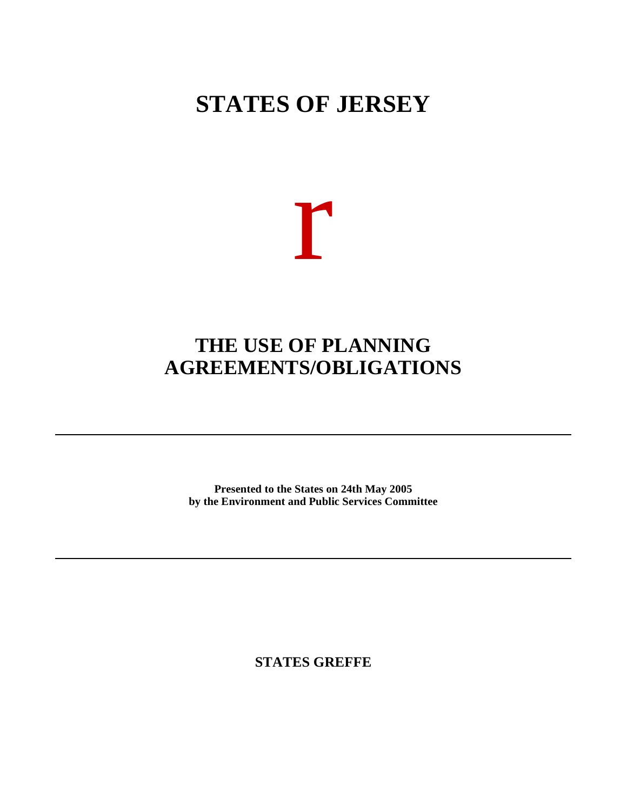# **STATES OF JERSEY**



## **THE USE OF PLANNING AGREEMENTS/OBLIGATIONS**

**Presented to the States on 24th May 2005 by the Environment and Public Services Committee**

**STATES GREFFE**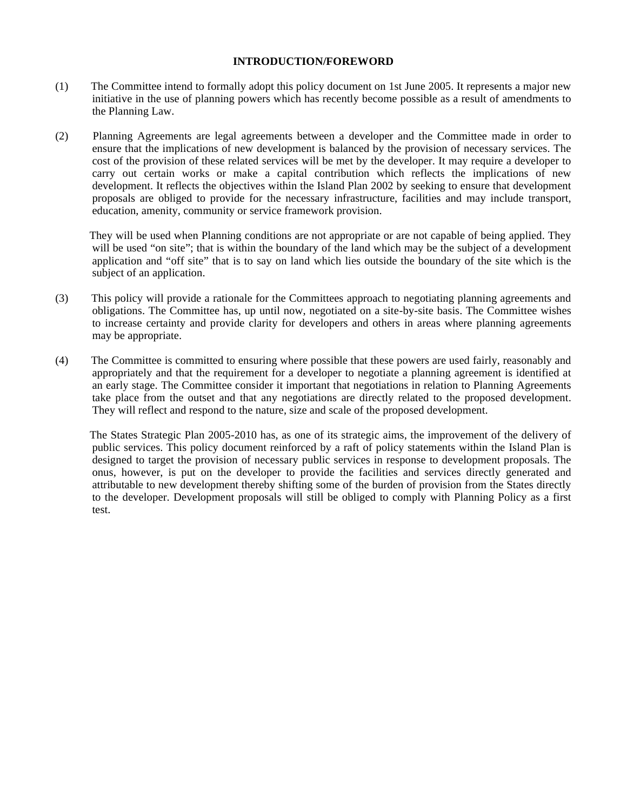#### **INTRODUCTION/FOREWORD**

- (1) The Committee intend to formally adopt this policy document on 1st June 2005. It represents a major new initiative in the use of planning powers which has recently become possible as a result of amendments to the Planning Law.
- (2) Planning Agreements are legal agreements between a developer and the Committee made in order to ensure that the implications of new development is balanced by the provision of necessary services. The cost of the provision of these related services will be met by the developer. It may require a developer to carry out certain works or make a capital contribution which reflects the implications of new development. It reflects the objectives within the Island Plan 2002 by seeking to ensure that development proposals are obliged to provide for the necessary infrastructure, facilities and may include transport, education, amenity, community or service framework provision.

 They will be used when Planning conditions are not appropriate or are not capable of being applied. They will be used "on site"; that is within the boundary of the land which may be the subject of a development application and "off site" that is to say on land which lies outside the boundary of the site which is the subject of an application.

- (3) This policy will provide a rationale for the Committees approach to negotiating planning agreements and obligations. The Committee has, up until now, negotiated on a site-by-site basis. The Committee wishes to increase certainty and provide clarity for developers and others in areas where planning agreements may be appropriate.
- (4) The Committee is committed to ensuring where possible that these powers are used fairly, reasonably and appropriately and that the requirement for a developer to negotiate a planning agreement is identified at an early stage. The Committee consider it important that negotiations in relation to Planning Agreements take place from the outset and that any negotiations are directly related to the proposed development. They will reflect and respond to the nature, size and scale of the proposed development.

 The States Strategic Plan 2005-2010 has, as one of its strategic aims, the improvement of the delivery of public services. This policy document reinforced by a raft of policy statements within the Island Plan is designed to target the provision of necessary public services in response to development proposals. The onus, however, is put on the developer to provide the facilities and services directly generated and attributable to new development thereby shifting some of the burden of provision from the States directly to the developer. Development proposals will still be obliged to comply with Planning Policy as a first test.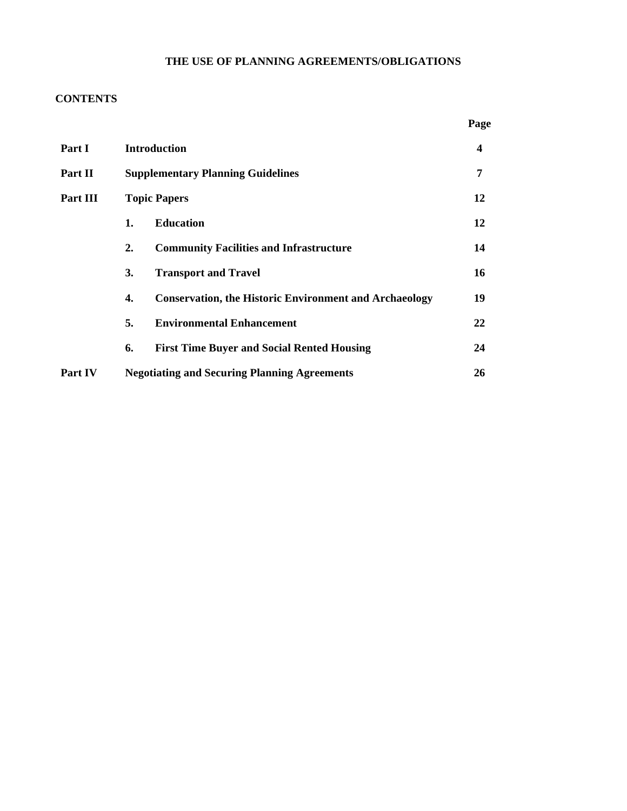## **THE USE OF PLANNING AGREEMENTS/OBLIGATIONS**

## **CONTENTS**

|               |                                                                     | Page |  |
|---------------|---------------------------------------------------------------------|------|--|
| <b>Part I</b> | <b>Introduction</b>                                                 |      |  |
| Part II       | <b>Supplementary Planning Guidelines</b>                            |      |  |
| Part III      | <b>Topic Papers</b>                                                 |      |  |
|               | <b>Education</b><br>1.                                              | 12   |  |
|               | <b>Community Facilities and Infrastructure</b><br>2.                | 14   |  |
|               | 3.<br><b>Transport and Travel</b>                                   | 16   |  |
|               | <b>Conservation, the Historic Environment and Archaeology</b><br>4. | 19   |  |
|               | <b>Environmental Enhancement</b><br>5.                              | 22   |  |
|               | <b>First Time Buyer and Social Rented Housing</b><br>6.             | 24   |  |
| Part IV       | <b>Negotiating and Securing Planning Agreements</b>                 |      |  |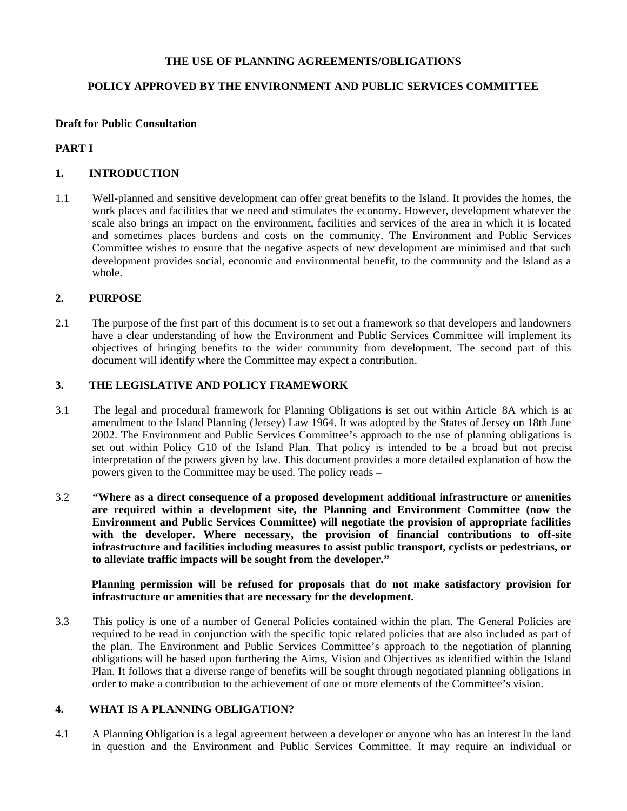#### **THE USE OF PLANNING AGREEMENTS/OBLIGATIONS**

#### **POLICY APPROVED BY THE ENVIRONMENT AND PUBLIC SERVICES COMMITTEE**

#### **Draft for Public Consultation**

#### **PART I**

#### **1. INTRODUCTION**

1.1 Well-planned and sensitive development can offer great benefits to the Island. It provides the homes, the work places and facilities that we need and stimulates the economy. However, development whatever the scale also brings an impact on the environment, facilities and services of the area in which it is located and sometimes places burdens and costs on the community. The Environment and Public Services Committee wishes to ensure that the negative aspects of new development are minimised and that such development provides social, economic and environmental benefit, to the community and the Island as a whole.

#### **2. PURPOSE**

2.1 The purpose of the first part of this document is to set out a framework so that developers and landowners have a clear understanding of how the Environment and Public Services Committee will implement its objectives of bringing benefits to the wider community from development. The second part of this document will identify where the Committee may expect a contribution.

#### **3. THE LEGISLATIVE AND POLICY FRAMEWORK**

- 3.1 The legal and procedural framework for Planning Obligations is set out within Article 8A which is an amendment to the Island Planning (Jersey) Law 1964. It was adopted by the States of Jersey on 18th June 2002. The Environment and Public Services Committee's approach to the use of planning obligations is set out within Policy G10 of the Island Plan. That policy is intended to be a broad but not precise interpretation of the powers given by law. This document provides a more detailed explanation of how the powers given to the Committee may be used. The policy reads –
- 3.2 **"Where as a direct consequence of a proposed development additional infrastructure or amenities are required within a development site, the Planning and Environment Committee (now the Environment and Public Services Committee) will negotiate the provision of appropriate facilities with the developer. Where necessary, the provision of financial contributions to off-site infrastructure and facilities including measures to assist public transport, cyclists or pedestrians, or to alleviate traffic impacts will be sought from the developer."**

#### **Planning permission will be refused for proposals that do not make satisfactory provision for infrastructure or amenities that are necessary for the development.**

3.3 This policy is one of a number of General Policies contained within the plan. The General Policies are required to be read in conjunction with the specific topic related policies that are also included as part of the plan. The Environment and Public Services Committee's approach to the negotiation of planning obligations will be based upon furthering the Aims, Vision and Objectives as identified within the Island Plan. It follows that a diverse range of benefits will be sought through negotiated planning obligations in order to make a contribution to the achievement of one or more elements of the Committee's vision.

#### **4. WHAT IS A PLANNING OBLIGATION?**

4.1 A Planning Obligation is a legal agreement between a developer or anyone who has an interest in the land in question and the Environment and Public Services Committee. It may require an individual or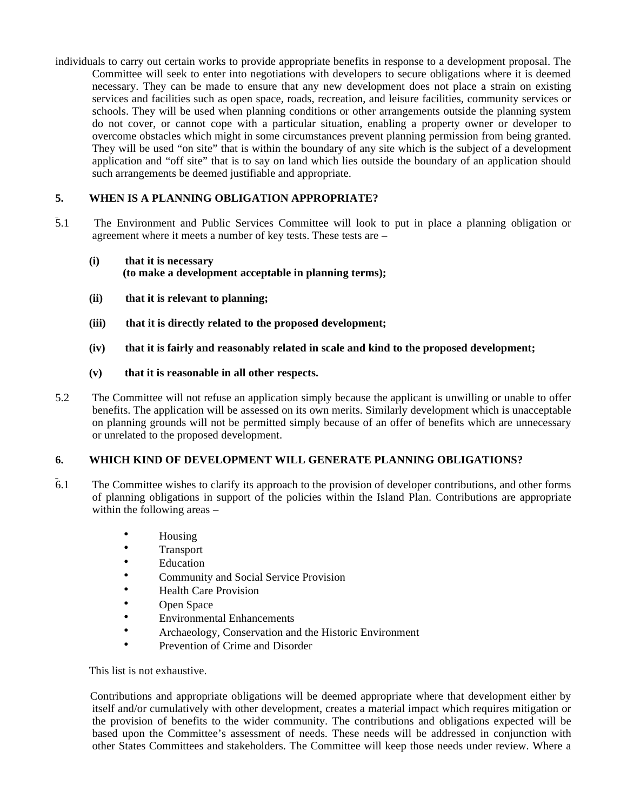individuals to carry out certain works to provide appropriate benefits in response to a development proposal. The Committee will seek to enter into negotiations with developers to secure obligations where it is deemed necessary. They can be made to ensure that any new development does not place a strain on existing services and facilities such as open space, roads, recreation, and leisure facilities, community services or schools. They will be used when planning conditions or other arrangements outside the planning system do not cover, or cannot cope with a particular situation, enabling a property owner or developer to overcome obstacles which might in some circumstances prevent planning permission from being granted. They will be used "on site" that is within the boundary of any site which is the subject of a development application and "off site" that is to say on land which lies outside the boundary of an application should such arrangements be deemed justifiable and appropriate.

## **5. WHEN IS A PLANNING OBLIGATION APPROPRIATE?**

5.1 The Environment and Public Services Committee will look to put in place a planning obligation or agreement where it meets a number of key tests. These tests are –

#### **(i) that it is necessary (to make a development acceptable in planning terms);**

- **(ii) that it is relevant to planning;**
- **(iii) that it is directly related to the proposed development;**
- **(iv) that it is fairly and reasonably related in scale and kind to the proposed development;**
- **(v) that it is reasonable in all other respects.**
- 5.2 The Committee will not refuse an application simply because the applicant is unwilling or unable to offer benefits. The application will be assessed on its own merits. Similarly development which is unacceptable on planning grounds will not be permitted simply because of an offer of benefits which are unnecessary or unrelated to the proposed development.

#### **6. WHICH KIND OF DEVELOPMENT WILL GENERATE PLANNING OBLIGATIONS?**

- 6.1 The Committee wishes to clarify its approach to the provision of developer contributions, and other forms of planning obligations in support of the policies within the Island Plan. Contributions are appropriate within the following areas –
	- Housing
	- Transport
	- Education
	- Community and Social Service Provision
	- Health Care Provision
	- Open Space
	- Environmental Enhancements
	- Archaeology, Conservation and the Historic Environment
	- Prevention of Crime and Disorder

This list is not exhaustive.

 Contributions and appropriate obligations will be deemed appropriate where that development either by itself and/or cumulatively with other development, creates a material impact which requires mitigation or the provision of benefits to the wider community. The contributions and obligations expected will be based upon the Committee's assessment of needs. These needs will be addressed in conjunction with other States Committees and stakeholders. The Committee will keep those needs under review. Where a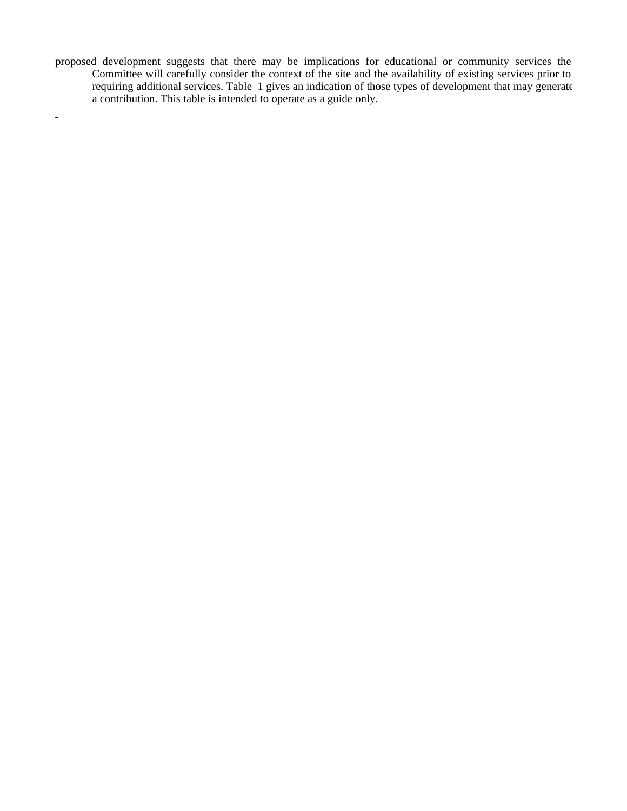proposed development suggests that there may be implications for educational or community services the Committee will carefully consider the context of the site and the availability of existing services prior to requiring additional services. Table 1 gives an indication of those types of development that may generate a contribution. This table is intended to operate as a guide only.

 $\frac{1}{\sqrt{2}}$  $\frac{1}{2}$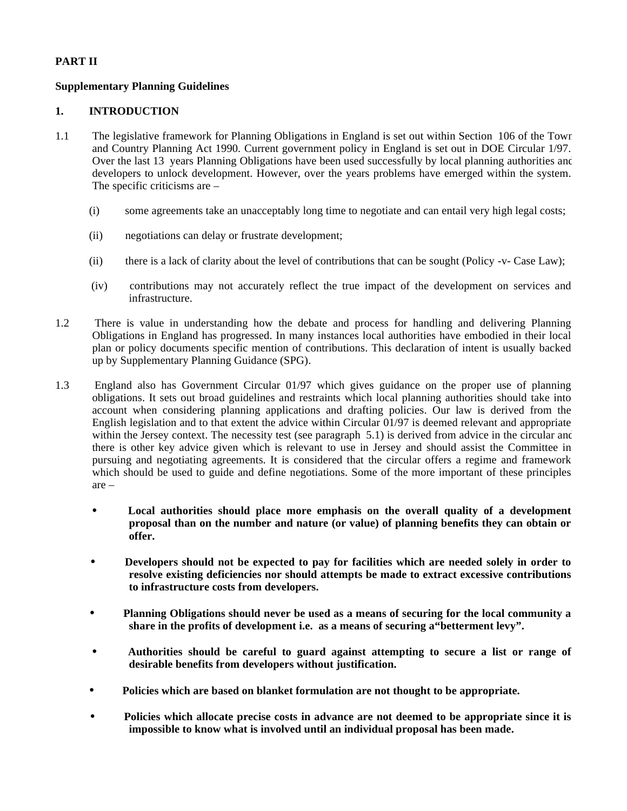## **PART II**

## **Supplementary Planning Guidelines**

#### **1. INTRODUCTION**

- 1.1 The legislative framework for Planning Obligations in England is set out within Section 106 of the Town and Country Planning Act 1990. Current government policy in England is set out in DOE Circular 1/97. Over the last 13 years Planning Obligations have been used successfully by local planning authorities and developers to unlock development. However, over the years problems have emerged within the system. The specific criticisms are –
	- (i) some agreements take an unacceptably long time to negotiate and can entail very high legal costs;
	- (ii) negotiations can delay or frustrate development;
	- (ii) there is a lack of clarity about the level of contributions that can be sought (Policy -v- Case Law);
	- (iv) contributions may not accurately reflect the true impact of the development on services and infrastructure.
- 1.2There is value in understanding how the debate and process for handling and delivering Planning Obligations in England has progressed. In many instances local authorities have embodied in their local plan or policy documents specific mention of contributions. This declaration of intent is usually backed up by Supplementary Planning Guidance (SPG).
- 1.3England also has Government Circular 01/97 which gives guidance on the proper use of planning obligations. It sets out broad guidelines and restraints which local planning authorities should take into account when considering planning applications and drafting policies. Our law is derived from the English legislation and to that extent the advice within Circular 01/97 is deemed relevant and appropriate within the Jersey context. The necessity test (see paragraph 5.1) is derived from advice in the circular and there is other key advice given which is relevant to use in Jersey and should assist the Committee in pursuing and negotiating agreements. It is considered that the circular offers a regime and framework which should be used to guide and define negotiations. Some of the more important of these principles are –
	- **Local authorities should place more emphasis on the overall quality of a development proposal than on the number and nature (or value) of planning benefits they can obtain or offer.**
	- **Developers should not be expected to pay for facilities which are needed solely in order to resolve existing deficiencies nor should attempts be made to extract excessive contributions to infrastructure costs from developers.**
	- **Planning Obligations should never be used as a means of securing for the local community a share in the profits of development i.e. as a means of securing a"betterment levy".**
	- **Authorities should be careful to guard against attempting to secure a list or range of desirable benefits from developers without justification.**
	- **Policies which are based on blanket formulation are not thought to be appropriate.**
	- **Policies which allocate precise costs in advance are not deemed to be appropriate since it is impossible to know what is involved until an individual proposal has been made.**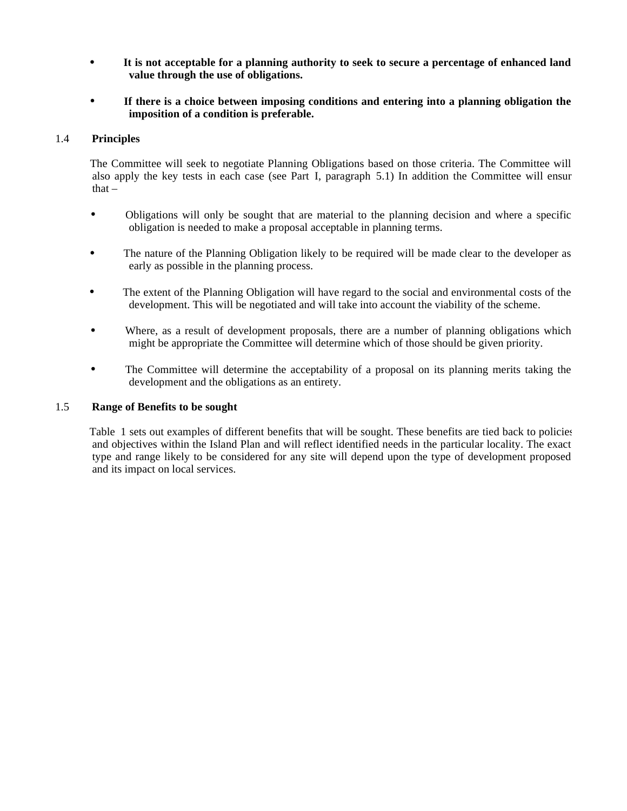- **It is not acceptable for a planning authority to seek to secure a percentage of enhanced land value through the use of obligations.**
- **If there is a choice between imposing conditions and entering into a planning obligation the imposition of a condition is preferable.**

#### 1.4 **Principles**

 The Committee will seek to negotiate Planning Obligations based on those criteria. The Committee will also apply the key tests in each case (see Part I, paragraph 5.1) In addition the Committee will ensur that  $-$ 

- Obligations will only be sought that are material to the planning decision and where a specific obligation is needed to make a proposal acceptable in planning terms.
- The nature of the Planning Obligation likely to be required will be made clear to the developer as early as possible in the planning process.
- The extent of the Planning Obligation will have regard to the social and environmental costs of the development. This will be negotiated and will take into account the viability of the scheme.
- Where, as a result of development proposals, there are a number of planning obligations which might be appropriate the Committee will determine which of those should be given priority.
- The Committee will determine the acceptability of a proposal on its planning merits taking the development and the obligations as an entirety.

#### 1.5 **Range of Benefits to be sought**

 Table 1 sets out examples of different benefits that will be sought. These benefits are tied back to policies and objectives within the Island Plan and will reflect identified needs in the particular locality. The exact type and range likely to be considered for any site will depend upon the type of development proposed and its impact on local services.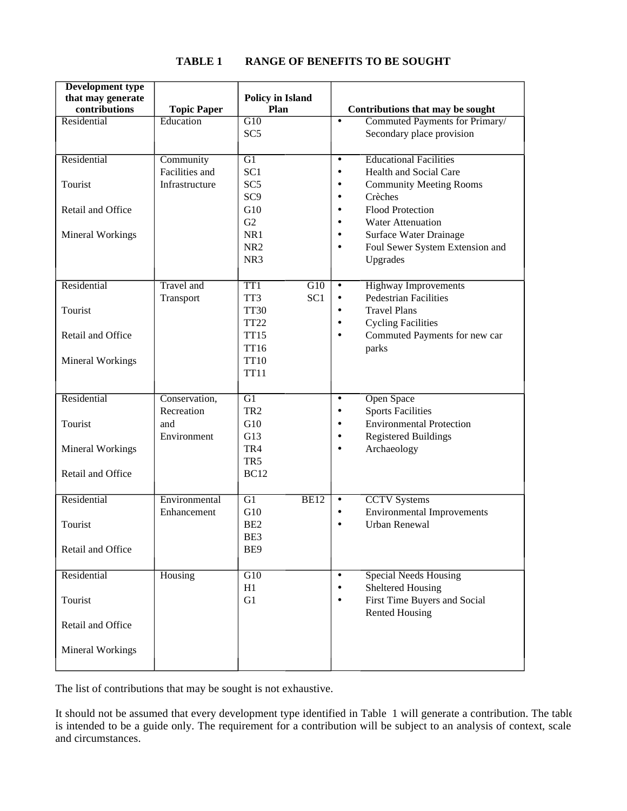| <b>Development type</b> |                    |                                     |                                                                        |
|-------------------------|--------------------|-------------------------------------|------------------------------------------------------------------------|
| that may generate       |                    | <b>Policy in Island</b>             |                                                                        |
| contributions           | <b>Topic Paper</b> | Plan                                | Contributions that may be sought                                       |
| Residential             | Education          | G10                                 | Commuted Payments for Primary/<br>$\bullet$                            |
|                         |                    | SC <sub>5</sub>                     | Secondary place provision                                              |
|                         |                    |                                     |                                                                        |
| Residential             | Community          | G1                                  | <b>Educational Facilities</b><br>$\bullet$                             |
|                         | Facilities and     | SC <sub>1</sub>                     | Health and Social Care<br>$\bullet$                                    |
| Tourist                 | Infrastructure     | SC <sub>5</sub>                     | <b>Community Meeting Rooms</b><br>$\bullet$                            |
|                         |                    | SC <sub>9</sub>                     | Crèches<br>$\bullet$                                                   |
| Retail and Office       |                    | G10<br>G2                           | Flood Protection<br>$\bullet$<br><b>Water Attenuation</b><br>$\bullet$ |
|                         |                    | NR1                                 | Surface Water Drainage<br>$\bullet$                                    |
| Mineral Workings        |                    | NR <sub>2</sub>                     | $\bullet$                                                              |
|                         |                    | NR <sub>3</sub>                     | Foul Sewer System Extension and<br>Upgrades                            |
|                         |                    |                                     |                                                                        |
| Residential             | <b>Travel</b> and  | TT <sub>1</sub><br>$\overline{G10}$ | <b>Highway Improvements</b><br>$\bullet$                               |
|                         | Transport          | SC <sub>1</sub><br>TT3              | <b>Pedestrian Facilities</b><br>$\bullet$                              |
| Tourist                 |                    | <b>TT30</b>                         | <b>Travel Plans</b><br>$\bullet$                                       |
|                         |                    | <b>TT22</b>                         | <b>Cycling Facilities</b><br>$\bullet$                                 |
| Retail and Office       |                    | <b>TT15</b>                         | Commuted Payments for new car<br>$\bullet$                             |
|                         |                    | <b>TT16</b>                         | parks                                                                  |
| Mineral Workings        |                    | <b>TT10</b>                         |                                                                        |
|                         |                    | <b>TT11</b>                         |                                                                        |
|                         |                    |                                     |                                                                        |
| Residential             | Conservation,      | G1                                  | <b>Open Space</b><br>$\bullet$                                         |
|                         | Recreation         | TR <sub>2</sub>                     | <b>Sports Facilities</b><br>٠                                          |
| Tourist                 | and                | G10                                 | <b>Environmental Protection</b><br>$\bullet$                           |
|                         | Environment        | G13                                 | <b>Registered Buildings</b><br>$\bullet$                               |
| <b>Mineral Workings</b> |                    | TR4                                 | Archaeology                                                            |
|                         |                    | TR5                                 |                                                                        |
| Retail and Office       |                    | <b>BC12</b>                         |                                                                        |
|                         |                    |                                     |                                                                        |
| Residential             | Environmental      | G1<br>BE12                          | <b>CCTV</b> Systems<br>$\bullet$                                       |
|                         | Enhancement        | G10                                 | <b>Environmental Improvements</b><br>$\bullet$                         |
| Tourist                 |                    | BE <sub>2</sub>                     | <b>Urban Renewal</b>                                                   |
|                         |                    | BE3                                 |                                                                        |
| Retail and Office       |                    | BE9                                 |                                                                        |
|                         |                    |                                     |                                                                        |
| Residential             | Housing            | G10                                 | <b>Special Needs Housing</b><br>$\bullet$                              |
|                         |                    | H1                                  | <b>Sheltered Housing</b><br>$\bullet$                                  |
| Tourist                 |                    | G1                                  | First Time Buyers and Social<br>$\bullet$                              |
|                         |                    |                                     | <b>Rented Housing</b>                                                  |
| Retail and Office       |                    |                                     |                                                                        |
|                         |                    |                                     |                                                                        |
| <b>Mineral Workings</b> |                    |                                     |                                                                        |
|                         |                    |                                     |                                                                        |

## **TABLE 1 RANGE OF BENEFITS TO BE SOUGHT**

The list of contributions that may be sought is not exhaustive.

It should not be assumed that every development type identified in Table 1 will generate a contribution. The table is intended to be a guide only. The requirement for a contribution will be subject to an analysis of context, scale and circumstances.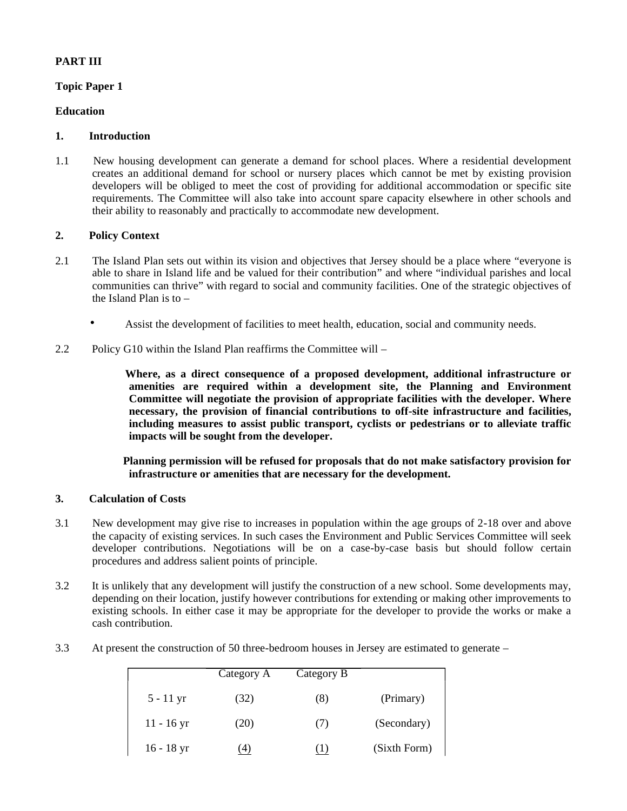## **PART III**

#### **Topic Paper 1**

#### **Education**

#### **1. Introduction**

1.1 New housing development can generate a demand for school places. Where a residential development creates an additional demand for school or nursery places which cannot be met by existing provision developers will be obliged to meet the cost of providing for additional accommodation or specific site requirements. The Committee will also take into account spare capacity elsewhere in other schools and their ability to reasonably and practically to accommodate new development.

#### **2. Policy Context**

- 2.1 The Island Plan sets out within its vision and objectives that Jersey should be a place where "everyone is able to share in Island life and be valued for their contribution" and where "individual parishes and local communities can thrive" with regard to social and community facilities. One of the strategic objectives of the Island Plan is to –
	- Assist the development of facilities to meet health, education, social and community needs.
- 2.2 Policy G10 within the Island Plan reaffirms the Committee will –

 **Where, as a direct consequence of a proposed development, additional infrastructure or amenities are required within a development site, the Planning and Environment Committee will negotiate the provision of appropriate facilities with the developer. Where necessary, the provision of financial contributions to off-site infrastructure and facilities, including measures to assist public transport, cyclists or pedestrians or to alleviate traffic impacts will be sought from the developer.**

 **Planning permission will be refused for proposals that do not make satisfactory provision for infrastructure or amenities that are necessary for the development.**

#### **3. Calculation of Costs**

- 3.1 New development may give rise to increases in population within the age groups of 2-18 over and above the capacity of existing services. In such cases the Environment and Public Services Committee will seek developer contributions. Negotiations will be on a case-by-case basis but should follow certain procedures and address salient points of principle.
- 3.2 It is unlikely that any development will justify the construction of a new school. Some developments may, depending on their location, justify however contributions for extending or making other improvements to existing schools. In either case it may be appropriate for the developer to provide the works or make a cash contribution.
- 3.3 At present the construction of 50 three-bedroom houses in Jersey are estimated to generate –

|              | Category A | Category B |              |
|--------------|------------|------------|--------------|
| $5 - 11$ yr  | (32)       | (8)        | (Primary)    |
| $11 - 16$ yr | (20)       | (7)        | (Secondary)  |
| $16 - 18$ yr | 4)         |            | (Sixth Form) |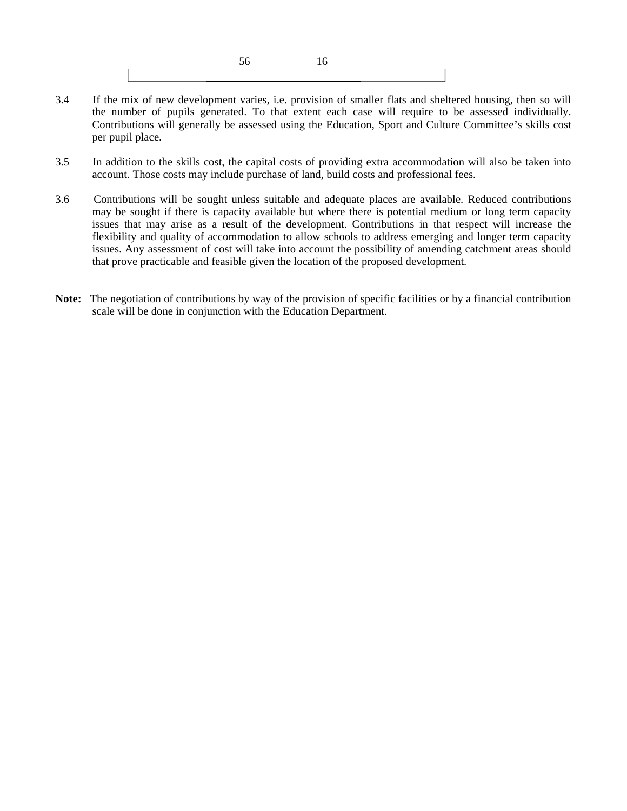3.4 If the mix of new development varies, i.e. provision of smaller flats and sheltered housing, then so will the number of pupils generated. To that extent each case will require to be assessed individually. Contributions will generally be assessed using the Education, Sport and Culture Committee's skills cost per pupil place.

56 16

- 3.5 In addition to the skills cost, the capital costs of providing extra accommodation will also be taken into account. Those costs may include purchase of land, build costs and professional fees.
- 3.6 Contributions will be sought unless suitable and adequate places are available. Reduced contributions may be sought if there is capacity available but where there is potential medium or long term capacity issues that may arise as a result of the development. Contributions in that respect will increase the flexibility and quality of accommodation to allow schools to address emerging and longer term capacity issues. Any assessment of cost will take into account the possibility of amending catchment areas should that prove practicable and feasible given the location of the proposed development.
- **Note:** The negotiation of contributions by way of the provision of specific facilities or by a financial contribution scale will be done in conjunction with the Education Department.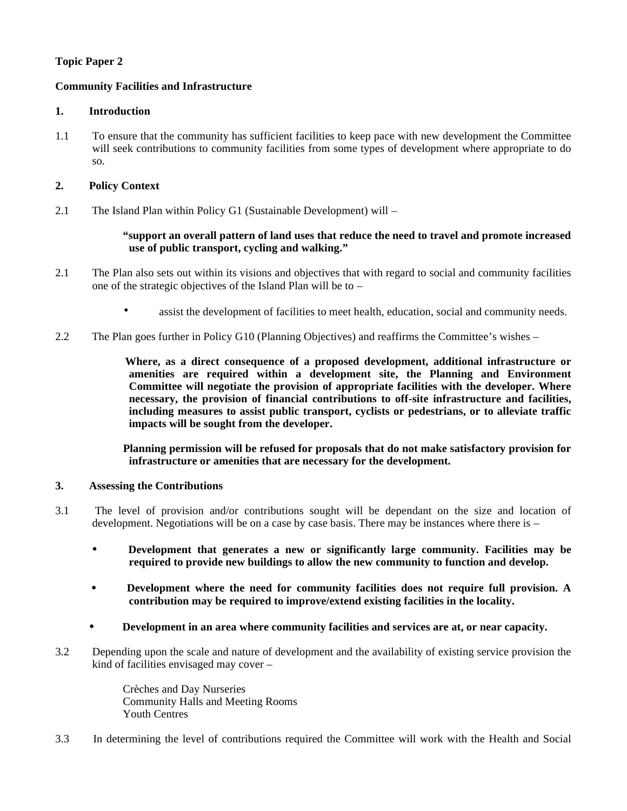## **Topic Paper 2**

#### **Community Facilities and Infrastructure**

#### **1. Introduction**

1.1To ensure that the community has sufficient facilities to keep pace with new development the Committee will seek contributions to community facilities from some types of development where appropriate to do so.

#### **2. Policy Context**

2.1 The Island Plan within Policy G1 (Sustainable Development) will –

#### **"support an overall pattern of land uses that reduce the need to travel and promote increased use of public transport, cycling and walking."**

- 2.1 The Plan also sets out within its visions and objectives that with regard to social and community facilities one of the strategic objectives of the Island Plan will be to –
	- assist the development of facilities to meet health, education, social and community needs.
- 2.2 The Plan goes further in Policy G10 (Planning Objectives) and reaffirms the Committee's wishes –

 **Where, as a direct consequence of a proposed development, additional infrastructure or amenities are required within a development site, the Planning and Environment Committee will negotiate the provision of appropriate facilities with the developer. Where necessary, the provision of financial contributions to off-site infrastructure and facilities, including measures to assist public transport, cyclists or pedestrians, or to alleviate traffic impacts will be sought from the developer.**

 **Planning permission will be refused for proposals that do not make satisfactory provision for infrastructure or amenities that are necessary for the development.**

#### **3. Assessing the Contributions**

- 3.1 The level of provision and/or contributions sought will be dependant on the size and location of development. Negotiations will be on a case by case basis. There may be instances where there is –
	- **Development that generates a new or significantly large community. Facilities may be required to provide new buildings to allow the new community to function and develop.**
	- **Development where the need for community facilities does not require full provision. A contribution may be required to improve/extend existing facilities in the locality.**
	- **Development in an area where community facilities and services are at, or near capacity.**
- 3.2 Depending upon the scale and nature of development and the availability of existing service provision the kind of facilities envisaged may cover –

 Crèches and Day Nurseries Community Halls and Meeting Rooms Youth Centres

3.3 In determining the level of contributions required the Committee will work with the Health and Social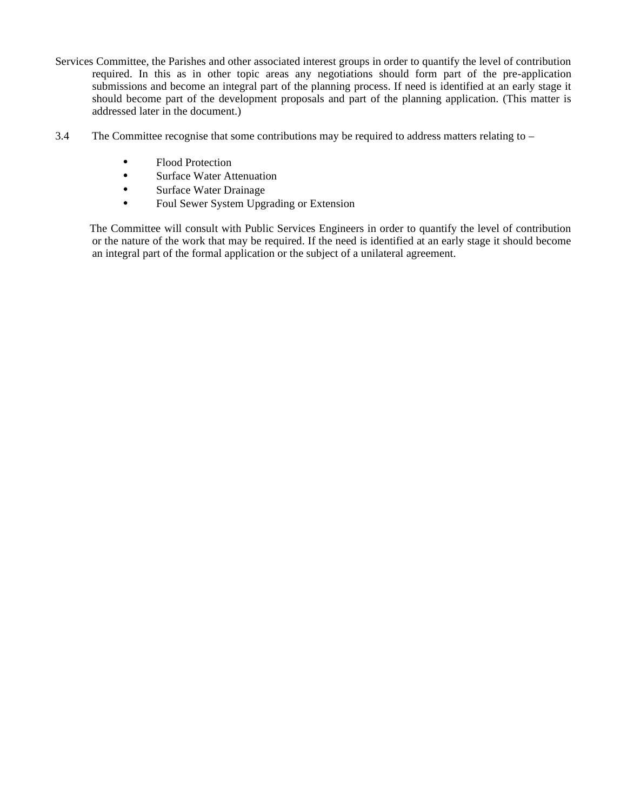- Services Committee, the Parishes and other associated interest groups in order to quantify the level of contribution required. In this as in other topic areas any negotiations should form part of the pre-application submissions and become an integral part of the planning process. If need is identified at an early stage it should become part of the development proposals and part of the planning application. (This matter is addressed later in the document.)
- 3.4 The Committee recognise that some contributions may be required to address matters relating to
	- Flood Protection
	- Surface Water Attenuation
	- Surface Water Drainage
	- Foul Sewer System Upgrading or Extension

 The Committee will consult with Public Services Engineers in order to quantify the level of contribution or the nature of the work that may be required. If the need is identified at an early stage it should become an integral part of the formal application or the subject of a unilateral agreement.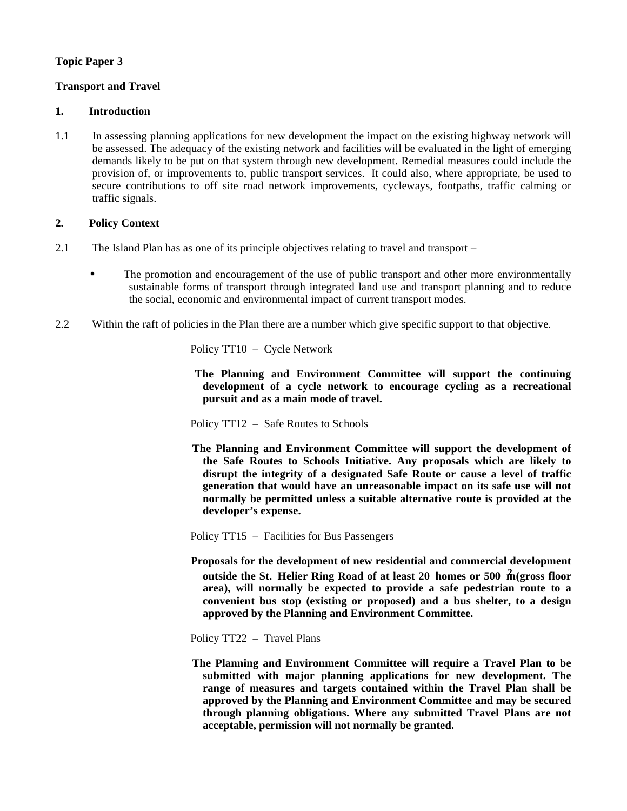## **Topic Paper 3**

## **Transport and Travel**

#### **1. Introduction**

1.1In assessing planning applications for new development the impact on the existing highway network will be assessed. The adequacy of the existing network and facilities will be evaluated in the light of emerging demands likely to be put on that system through new development. Remedial measures could include the provision of, or improvements to, public transport services. It could also, where appropriate, be used to secure contributions to off site road network improvements, cycleways, footpaths, traffic calming or traffic signals.

#### **2. Policy Context**

- 2.1The Island Plan has as one of its principle objectives relating to travel and transport
	- The promotion and encouragement of the use of public transport and other more environmentally sustainable forms of transport through integrated land use and transport planning and to reduce the social, economic and environmental impact of current transport modes.
- 2.2 Within the raft of policies in the Plan there are a number which give specific support to that objective.

Policy TT10 – Cycle Network

 **The Planning and Environment Committee will support the continuing development of a cycle network to encourage cycling as a recreational pursuit and as a main mode of travel.**

Policy TT12 – Safe Routes to Schools

 **The Planning and Environment Committee will support the development of the Safe Routes to Schools Initiative. Any proposals which are likely to disrupt the integrity of a designated Safe Route or cause a level of traffic generation that would have an unreasonable impact on its safe use will not normally be permitted unless a suitable alternative route is provided at the developer's expense.**

Policy TT15 – Facilities for Bus Passengers

- **Proposals for the development of new residential and commercial development outside the St. Helier Ring Road of at least 20 homes or 500**  $\mathbf{\hat{m}}$  **(gross floor area), will normally be expected to provide a safe pedestrian route to a convenient bus stop (existing or proposed) and a bus shelter, to a design approved by the Planning and Environment Committee.**
- Policy TT22 Travel Plans
- **The Planning and Environment Committee will require a Travel Plan to be submitted with major planning applications for new development. The range of measures and targets contained within the Travel Plan shall be approved by the Planning and Environment Committee and may be secured through planning obligations. Where any submitted Travel Plans are not acceptable, permission will not normally be granted.**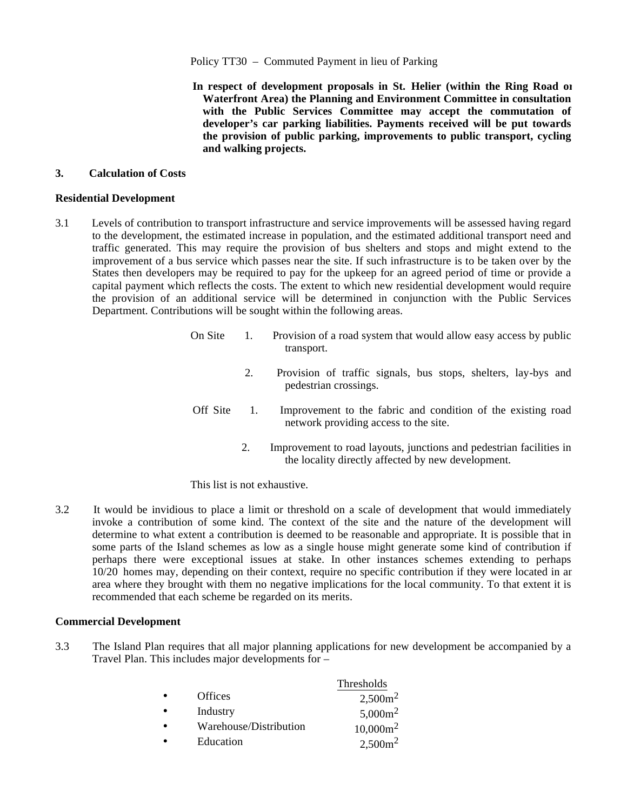#### Policy TT30 – Commuted Payment in lieu of Parking

 **In respect of development proposals in St. Helier (within the Ring Road or Waterfront Area) the Planning and Environment Committee in consultation with the Public Services Committee may accept the commutation of developer's car parking liabilities. Payments received will be put towards the provision of public parking, improvements to public transport, cycling and walking projects.**

#### **3. Calculation of Costs**

#### **Residential Development**

3.1 Levels of contribution to transport infrastructure and service improvements will be assessed having regard to the development, the estimated increase in population, and the estimated additional transport need and traffic generated. This may require the provision of bus shelters and stops and might extend to the improvement of a bus service which passes near the site. If such infrastructure is to be taken over by the States then developers may be required to pay for the upkeep for an agreed period of time or provide a capital payment which reflects the costs. The extent to which new residential development would require the provision of an additional service will be determined in conjunction with the Public Services Department. Contributions will be sought within the following areas.

| On Site  | Provision of a road system that would allow easy access by public<br>transport.                       |
|----------|-------------------------------------------------------------------------------------------------------|
|          | Provision of traffic signals, bus stops, shelters, lay-bys and<br>pedestrian crossings.               |
| Off Site | Improvement to the fabric and condition of the existing road<br>network providing access to the site. |

 2. Improvement to road layouts, junctions and pedestrian facilities in the locality directly affected by new development.

This list is not exhaustive.

3.2 It would be invidious to place a limit or threshold on a scale of development that would immediately invoke a contribution of some kind. The context of the site and the nature of the development will determine to what extent a contribution is deemed to be reasonable and appropriate. It is possible that in some parts of the Island schemes as low as a single house might generate some kind of contribution if perhaps there were exceptional issues at stake. In other instances schemes extending to perhaps 10/20 homes may, depending on their context, require no specific contribution if they were located in an area where they brought with them no negative implications for the local community. To that extent it is recommended that each scheme be regarded on its merits.

#### **Commercial Development**

3.3 The Island Plan requires that all major planning applications for new development be accompanied by a Travel Plan. This includes major developments for –

|           |                        | Thresholds          |
|-----------|------------------------|---------------------|
| $\bullet$ | <b>Offices</b>         | 2,500m <sup>2</sup> |
| $\bullet$ | Industry               | $5,000m^2$          |
| $\bullet$ | Warehouse/Distribution | $10,000m^2$         |
| $\bullet$ | Education              | $2,500m^2$          |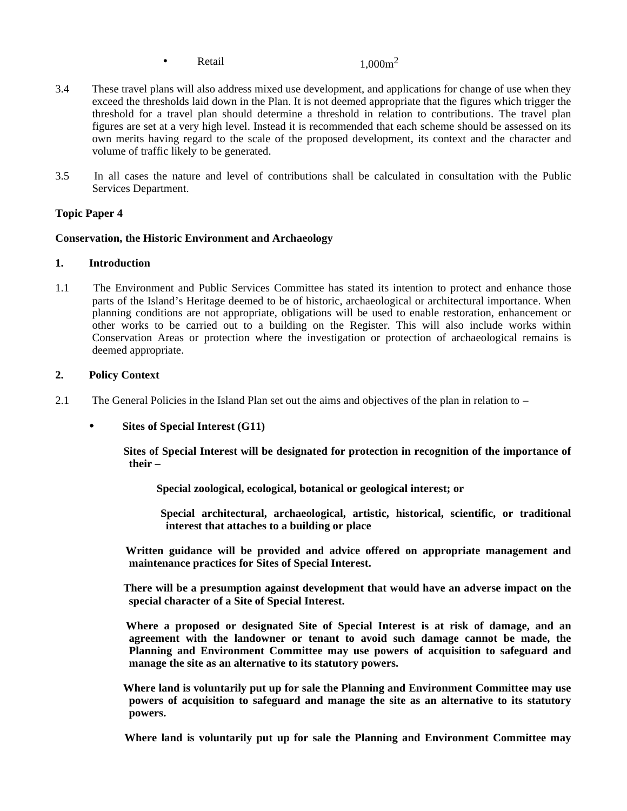• Retail  $1.000m^2$ 

- 3.4 These travel plans will also address mixed use development, and applications for change of use when they exceed the thresholds laid down in the Plan. It is not deemed appropriate that the figures which trigger the threshold for a travel plan should determine a threshold in relation to contributions. The travel plan figures are set at a very high level. Instead it is recommended that each scheme should be assessed on its own merits having regard to the scale of the proposed development, its context and the character and volume of traffic likely to be generated.
- 3.5 In all cases the nature and level of contributions shall be calculated in consultation with the Public Services Department.

#### **Topic Paper 4**

#### **Conservation, the Historic Environment and Archaeology**

#### **1. Introduction**

1.1The Environment and Public Services Committee has stated its intention to protect and enhance those parts of the Island's Heritage deemed to be of historic, archaeological or architectural importance. When planning conditions are not appropriate, obligations will be used to enable restoration, enhancement or other works to be carried out to a building on the Register. This will also include works within Conservation Areas or protection where the investigation or protection of archaeological remains is deemed appropriate.

#### **2. Policy Context**

- 2.1 The General Policies in the Island Plan set out the aims and objectives of the plan in relation to
	- **Sites of Special Interest (G11)**

 **Sites of Special Interest will be designated for protection in recognition of the importance of their –**

 **Special zoological, ecological, botanical or geological interest; or**

 **Special architectural, archaeological, artistic, historical, scientific, or traditional interest that attaches to a building or place**

 **Written guidance will be provided and advice offered on appropriate management and maintenance practices for Sites of Special Interest.**

 **There will be a presumption against development that would have an adverse impact on the special character of a Site of Special Interest.**

 **Where a proposed or designated Site of Special Interest is at risk of damage, and an agreement with the landowner or tenant to avoid such damage cannot be made, the Planning and Environment Committee may use powers of acquisition to safeguard and manage the site as an alternative to its statutory powers.**

 **Where land is voluntarily put up for sale the Planning and Environment Committee may use powers of acquisition to safeguard and manage the site as an alternative to its statutory powers.**

 **Where land is voluntarily put up for sale the Planning and Environment Committee may**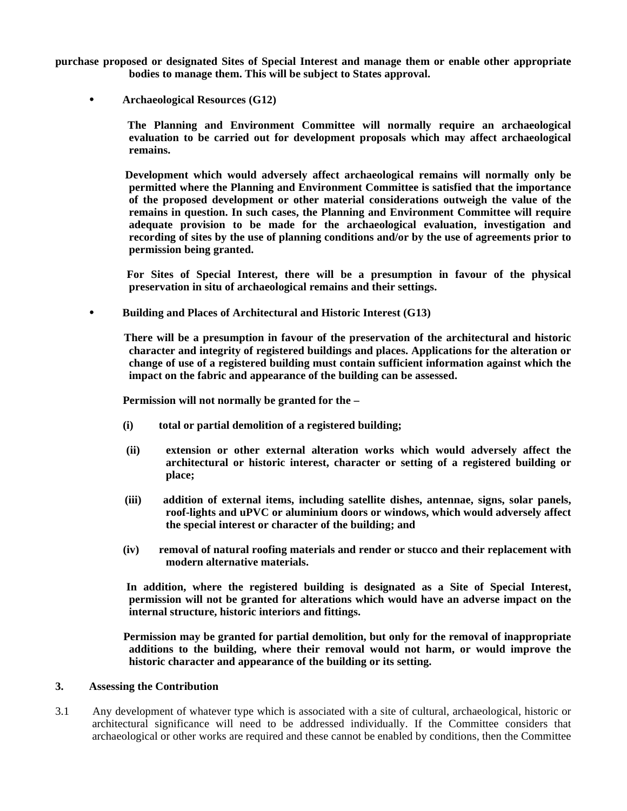**purchase proposed or designated Sites of Special Interest and manage them or enable other appropriate bodies to manage them. This will be subject to States approval.**

 **Archaeological Resources (G12)**

 **The Planning and Environment Committee will normally require an archaeological evaluation to be carried out for development proposals which may affect archaeological remains.**

 **Development which would adversely affect archaeological remains will normally only be permitted where the Planning and Environment Committee is satisfied that the importance of the proposed development or other material considerations outweigh the value of the remains in question. In such cases, the Planning and Environment Committee will require adequate provision to be made for the archaeological evaluation, investigation and recording of sites by the use of planning conditions and/or by the use of agreements prior to permission being granted.**

 **For Sites of Special Interest, there will be a presumption in favour of the physical preservation in situ of archaeological remains and their settings.**

 **Building and Places of Architectural and Historic Interest (G13)**

 **There will be a presumption in favour of the preservation of the architectural and historic character and integrity of registered buildings and places. Applications for the alteration or change of use of a registered building must contain sufficient information against which the impact on the fabric and appearance of the building can be assessed.**

 **Permission will not normally be granted for the –**

- **(i) total or partial demolition of a registered building;**
- **(ii) extension or other external alteration works which would adversely affect the architectural or historic interest, character or setting of a registered building or place;**
- **(iii) addition of external items, including satellite dishes, antennae, signs, solar panels, roof-lights and uPVC or aluminium doors or windows, which would adversely affect the special interest or character of the building; and**
- **(iv) removal of natural roofing materials and render or stucco and their replacement with modern alternative materials.**

 **In addition, where the registered building is designated as a Site of Special Interest, permission will not be granted for alterations which would have an adverse impact on the internal structure, historic interiors and fittings.**

 **Permission may be granted for partial demolition, but only for the removal of inappropriate additions to the building, where their removal would not harm, or would improve the historic character and appearance of the building or its setting.**

#### **3. Assessing the Contribution**

3.1 Any development of whatever type which is associated with a site of cultural, archaeological, historic or architectural significance will need to be addressed individually. If the Committee considers that archaeological or other works are required and these cannot be enabled by conditions, then the Committee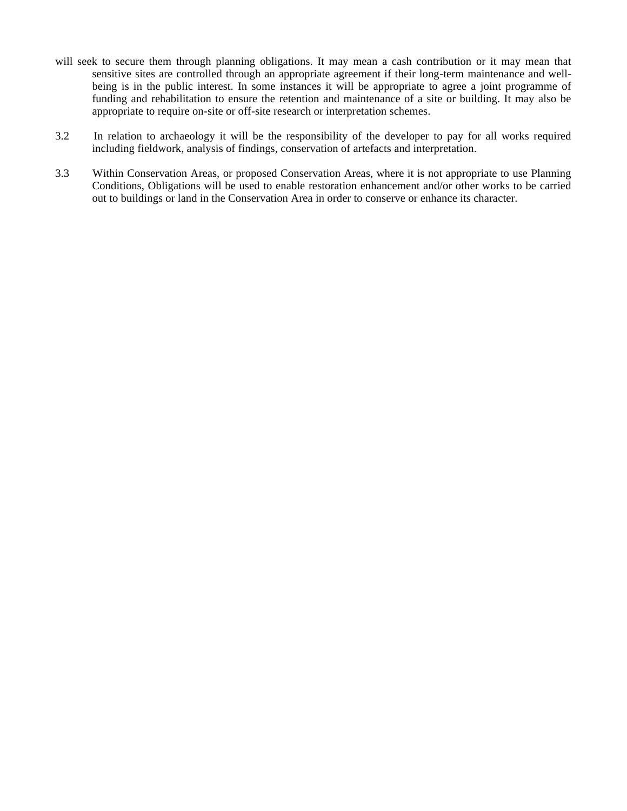- will seek to secure them through planning obligations. It may mean a cash contribution or it may mean that sensitive sites are controlled through an appropriate agreement if their long-term maintenance and wellbeing is in the public interest. In some instances it will be appropriate to agree a joint programme of funding and rehabilitation to ensure the retention and maintenance of a site or building. It may also be appropriate to require on-site or off-site research or interpretation schemes.
- 3.2 In relation to archaeology it will be the responsibility of the developer to pay for all works required including fieldwork, analysis of findings, conservation of artefacts and interpretation.
- 3.3 Within Conservation Areas, or proposed Conservation Areas, where it is not appropriate to use Planning Conditions, Obligations will be used to enable restoration enhancement and/or other works to be carried out to buildings or land in the Conservation Area in order to conserve or enhance its character.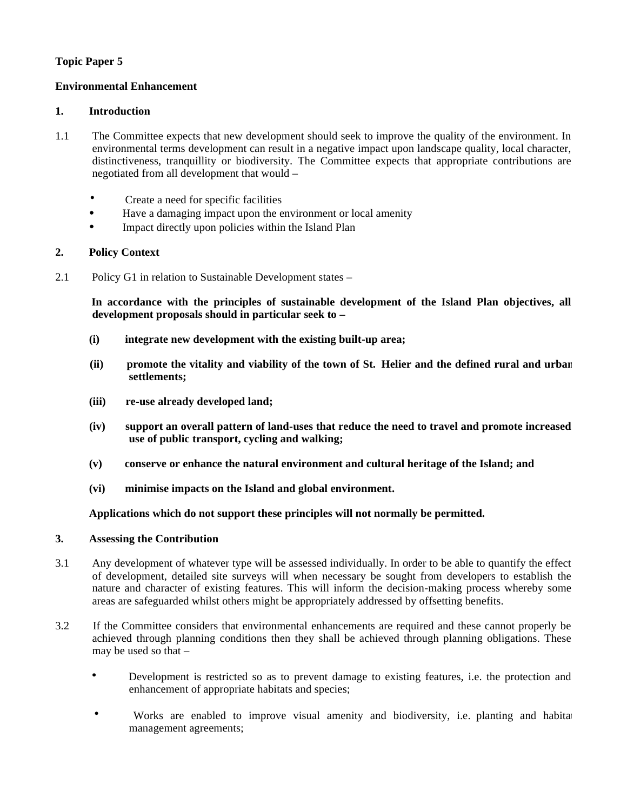## **Topic Paper 5**

#### **Environmental Enhancement**

#### **1. Introduction**

- 1.1The Committee expects that new development should seek to improve the quality of the environment. In environmental terms development can result in a negative impact upon landscape quality, local character, distinctiveness, tranquillity or biodiversity. The Committee expects that appropriate contributions are negotiated from all development that would –
	- Create a need for specific facilities
	- Have a damaging impact upon the environment or local amenity
	- Impact directly upon policies within the Island Plan

#### **2. Policy Context**

2.1Policy G1 in relation to Sustainable Development states –

 **In accordance with the principles of sustainable development of the Island Plan objectives, all development proposals should in particular seek to –**

- **(i) integrate new development with the existing built-up area;**
- **(ii) promote the vitality and viability of the town of St. Helier and the defined rural and urban settlements;**
- **(iii) re-use already developed land;**
- **(iv) support an overall pattern of land-uses that reduce the need to travel and promote increased use of public transport, cycling and walking;**
- **(v) conserve or enhance the natural environment and cultural heritage of the Island; and**
- **(vi) minimise impacts on the Island and global environment.**

#### **Applications which do not support these principles will not normally be permitted.**

#### **3. Assessing the Contribution**

- 3.1 Any development of whatever type will be assessed individually. In order to be able to quantify the effect of development, detailed site surveys will when necessary be sought from developers to establish the nature and character of existing features. This will inform the decision-making process whereby some areas are safeguarded whilst others might be appropriately addressed by offsetting benefits.
- 3.2 If the Committee considers that environmental enhancements are required and these cannot properly be achieved through planning conditions then they shall be achieved through planning obligations. These may be used so that –
	- Development is restricted so as to prevent damage to existing features, i.e. the protection and enhancement of appropriate habitats and species;
	- Works are enabled to improve visual amenity and biodiversity, i.e. planting and habitat management agreements;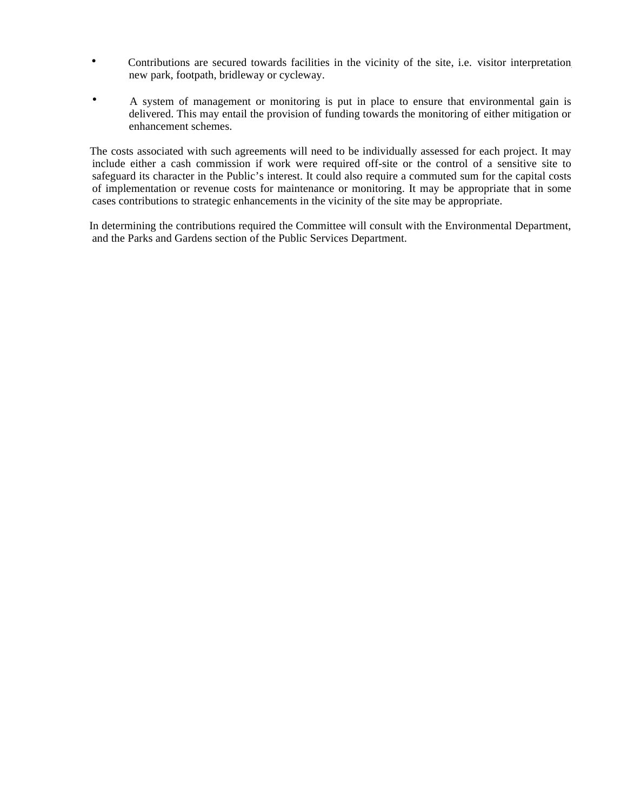- Contributions are secured towards facilities in the vicinity of the site, i.e. visitor interpretation, new park, footpath, bridleway or cycleway.
- A system of management or monitoring is put in place to ensure that environmental gain is delivered. This may entail the provision of funding towards the monitoring of either mitigation or enhancement schemes.

 The costs associated with such agreements will need to be individually assessed for each project. It may include either a cash commission if work were required off-site or the control of a sensitive site to safeguard its character in the Public's interest. It could also require a commuted sum for the capital costs of implementation or revenue costs for maintenance or monitoring. It may be appropriate that in some cases contributions to strategic enhancements in the vicinity of the site may be appropriate.

 In determining the contributions required the Committee will consult with the Environmental Department, and the Parks and Gardens section of the Public Services Department.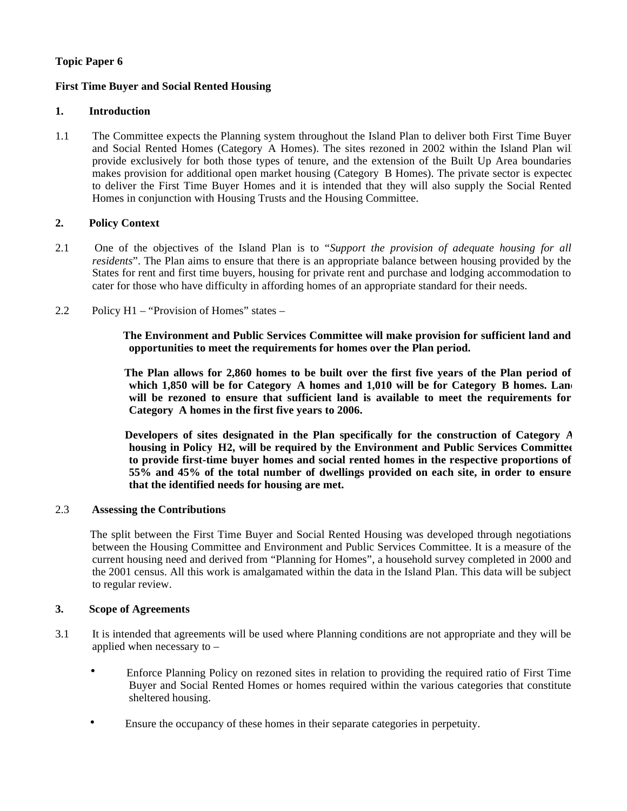## **Topic Paper 6**

## **First Time Buyer and Social Rented Housing**

#### **1. Introduction**

1.1The Committee expects the Planning system throughout the Island Plan to deliver both First Time Buyer and Social Rented Homes (Category A Homes). The sites rezoned in 2002 within the Island Plan will provide exclusively for both those types of tenure, and the extension of the Built Up Area boundaries makes provision for additional open market housing (Category B Homes). The private sector is expected to deliver the First Time Buyer Homes and it is intended that they will also supply the Social Rented Homes in conjunction with Housing Trusts and the Housing Committee.

## **2. Policy Context**

- 2.1 One of the objectives of the Island Plan is to "*Support the provision of adequate housing for all residents*". The Plan aims to ensure that there is an appropriate balance between housing provided by the States for rent and first time buyers, housing for private rent and purchase and lodging accommodation to cater for those who have difficulty in affording homes of an appropriate standard for their needs.
- 2.2 Policy H1 "Provision of Homes" states –

 **The Environment and Public Services Committee will make provision for sufficient land and opportunities to meet the requirements for homes over the Plan period.**

 **The Plan allows for 2,860 homes to be built over the first five years of the Plan period of** which 1,850 will be for Category A homes and 1,010 will be for Category B homes. Land **will be rezoned to ensure that sufficient land is available to meet the requirements for Category A homes in the first five years to 2006.**

 **Developers of sites designated in the Plan specifically for the construction of Category A housing in Policy H2, will be required by the Environment and Public Services Committee to provide first-time buyer homes and social rented homes in the respective proportions of 55% and 45% of the total number of dwellings provided on each site, in order to ensure that the identified needs for housing are met.**

## 2.3 **Assessing the Contributions**

 The split between the First Time Buyer and Social Rented Housing was developed through negotiations between the Housing Committee and Environment and Public Services Committee. It is a measure of the current housing need and derived from "Planning for Homes", a household survey completed in 2000 and the 2001 census. All this work is amalgamated within the data in the Island Plan. This data will be subject to regular review.

#### **3. Scope of Agreements**

- 3.1It is intended that agreements will be used where Planning conditions are not appropriate and they will be applied when necessary to –
	- Enforce Planning Policy on rezoned sites in relation to providing the required ratio of First Time Buyer and Social Rented Homes or homes required within the various categories that constitute sheltered housing.
	- Ensure the occupancy of these homes in their separate categories in perpetuity.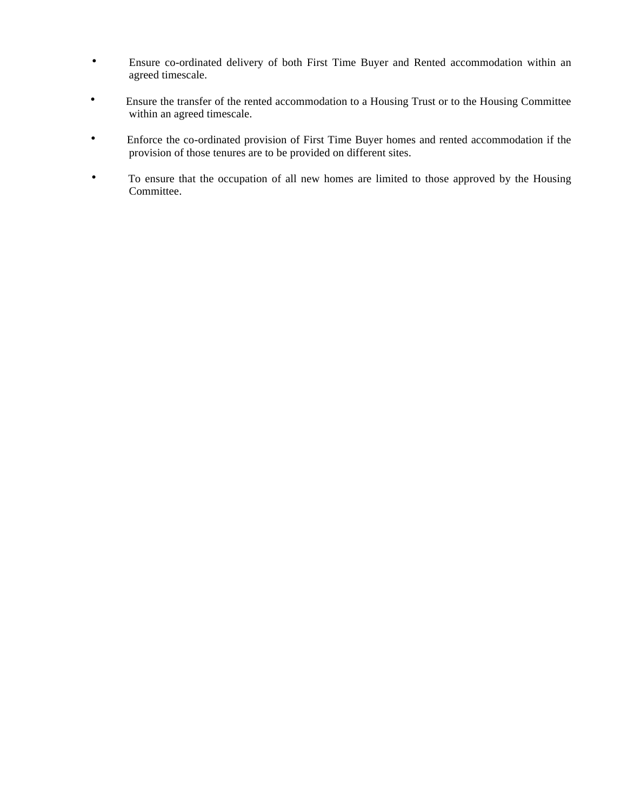- Ensure co-ordinated delivery of both First Time Buyer and Rented accommodation within an agreed timescale.
- Ensure the transfer of the rented accommodation to a Housing Trust or to the Housing Committee within an agreed timescale.
- Enforce the co-ordinated provision of First Time Buyer homes and rented accommodation if the provision of those tenures are to be provided on different sites.
- To ensure that the occupation of all new homes are limited to those approved by the Housing Committee.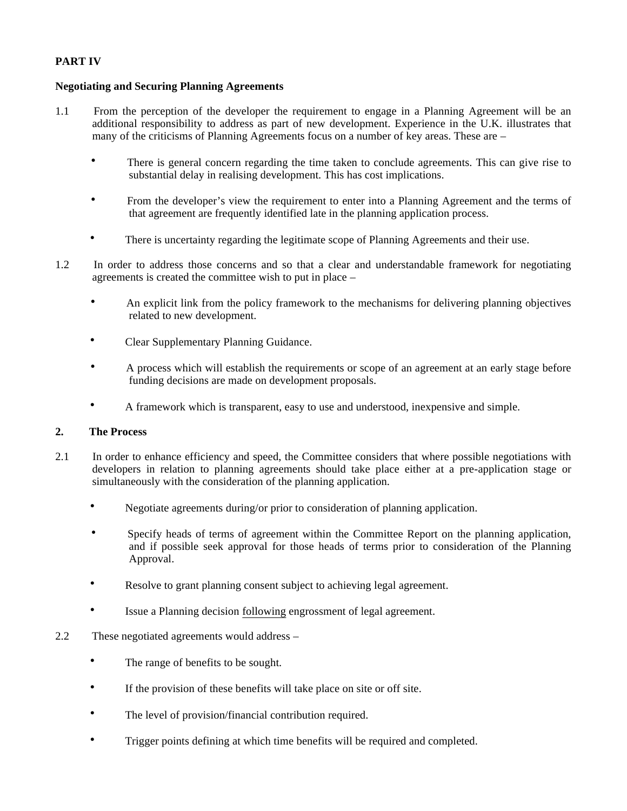## **PART IV**

#### **Negotiating and Securing Planning Agreements**

- 1.1 From the perception of the developer the requirement to engage in a Planning Agreement will be an additional responsibility to address as part of new development. Experience in the U.K. illustrates that many of the criticisms of Planning Agreements focus on a number of key areas. These are –
	- There is general concern regarding the time taken to conclude agreements. This can give rise to substantial delay in realising development. This has cost implications.
	- From the developer's view the requirement to enter into a Planning Agreement and the terms of that agreement are frequently identified late in the planning application process.
	- There is uncertainty regarding the legitimate scope of Planning Agreements and their use.
- 1.2 In order to address those concerns and so that a clear and understandable framework for negotiating agreements is created the committee wish to put in place –
	- An explicit link from the policy framework to the mechanisms for delivering planning objectives related to new development.
	- Clear Supplementary Planning Guidance.
	- A process which will establish the requirements or scope of an agreement at an early stage before funding decisions are made on development proposals.
	- A framework which is transparent, easy to use and understood, inexpensive and simple.

#### **2. The Process**

- 2.1 In order to enhance efficiency and speed, the Committee considers that where possible negotiations with developers in relation to planning agreements should take place either at a pre-application stage or simultaneously with the consideration of the planning application.
	- Negotiate agreements during/or prior to consideration of planning application.
	- Specify heads of terms of agreement within the Committee Report on the planning application, and if possible seek approval for those heads of terms prior to consideration of the Planning Approval.
	- Resolve to grant planning consent subject to achieving legal agreement.
	- Issue a Planning decision following engrossment of legal agreement.
- 2.2 These negotiated agreements would address
	- The range of benefits to be sought.
	- If the provision of these benefits will take place on site or off site.
	- The level of provision/financial contribution required.
	- Trigger points defining at which time benefits will be required and completed.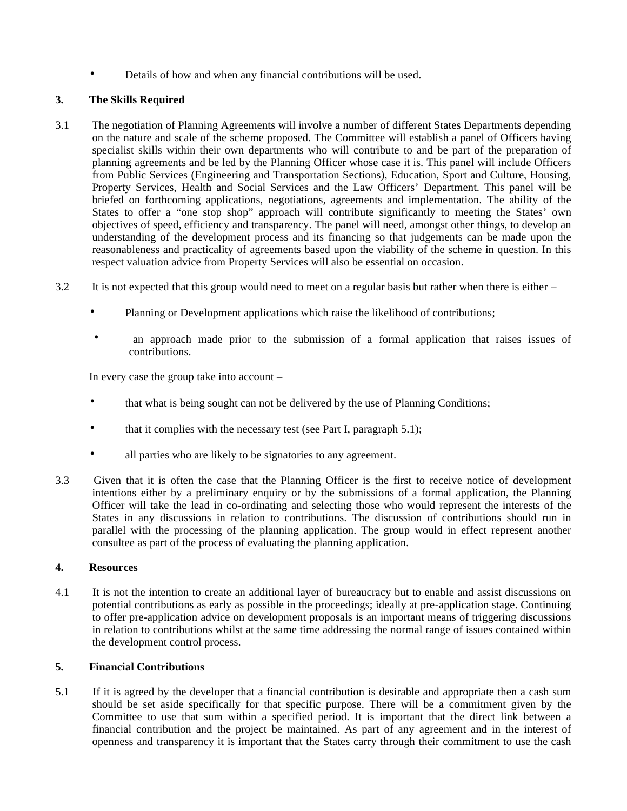• Details of how and when any financial contributions will be used.

## **3. The Skills Required**

- 3.1 The negotiation of Planning Agreements will involve a number of different States Departments depending on the nature and scale of the scheme proposed. The Committee will establish a panel of Officers having specialist skills within their own departments who will contribute to and be part of the preparation of planning agreements and be led by the Planning Officer whose case it is. This panel will include Officers from Public Services (Engineering and Transportation Sections), Education, Sport and Culture, Housing, Property Services, Health and Social Services and the Law Officers' Department. This panel will be briefed on forthcoming applications, negotiations, agreements and implementation. The ability of the States to offer a "one stop shop" approach will contribute significantly to meeting the States' own objectives of speed, efficiency and transparency. The panel will need, amongst other things, to develop an understanding of the development process and its financing so that judgements can be made upon the reasonableness and practicality of agreements based upon the viability of the scheme in question. In this respect valuation advice from Property Services will also be essential on occasion.
- 3.2 It is not expected that this group would need to meet on a regular basis but rather when there is either
	- Planning or Development applications which raise the likelihood of contributions;
	- an approach made prior to the submission of a formal application that raises issues of contributions.

In every case the group take into account –

- that what is being sought can not be delivered by the use of Planning Conditions;
- that it complies with the necessary test (see Part I, paragraph  $5.1$ );
- all parties who are likely to be signatories to any agreement.
- 3.3 Given that it is often the case that the Planning Officer is the first to receive notice of development intentions either by a preliminary enquiry or by the submissions of a formal application, the Planning Officer will take the lead in co-ordinating and selecting those who would represent the interests of the States in any discussions in relation to contributions. The discussion of contributions should run in parallel with the processing of the planning application. The group would in effect represent another consultee as part of the process of evaluating the planning application.

#### **4. Resources**

4.1 It is not the intention to create an additional layer of bureaucracy but to enable and assist discussions on potential contributions as early as possible in the proceedings; ideally at pre-application stage. Continuing to offer pre-application advice on development proposals is an important means of triggering discussions in relation to contributions whilst at the same time addressing the normal range of issues contained within the development control process.

#### **5. Financial Contributions**

5.1 If it is agreed by the developer that a financial contribution is desirable and appropriate then a cash sum should be set aside specifically for that specific purpose. There will be a commitment given by the Committee to use that sum within a specified period. It is important that the direct link between a financial contribution and the project be maintained. As part of any agreement and in the interest of openness and transparency it is important that the States carry through their commitment to use the cash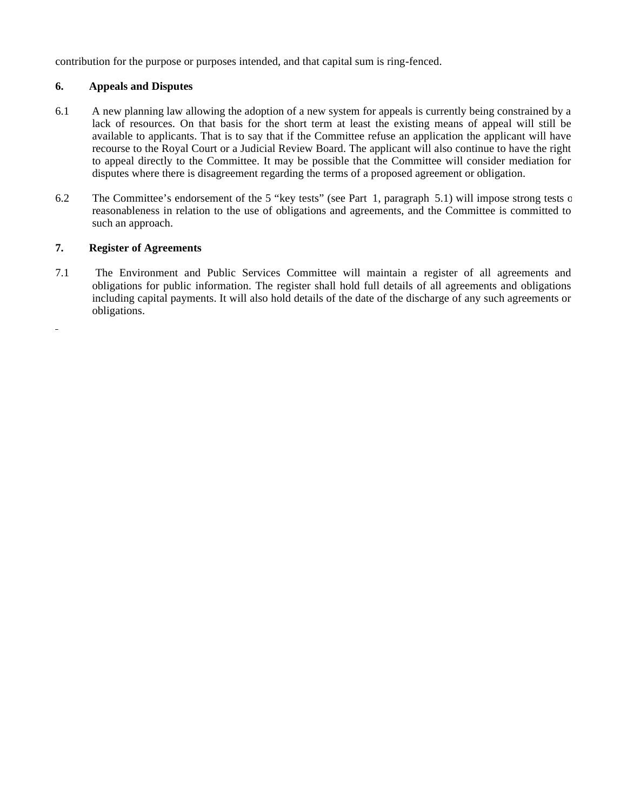contribution for the purpose or purposes intended, and that capital sum is ring-fenced.

#### **6. Appeals and Disputes**

- 6.1 A new planning law allowing the adoption of a new system for appeals is currently being constrained by a lack of resources. On that basis for the short term at least the existing means of appeal will still be available to applicants. That is to say that if the Committee refuse an application the applicant will have recourse to the Royal Court or a Judicial Review Board. The applicant will also continue to have the right to appeal directly to the Committee. It may be possible that the Committee will consider mediation for disputes where there is disagreement regarding the terms of a proposed agreement or obligation.
- 6.2 The Committee's endorsement of the 5 "key tests" (see Part 1, paragraph 5.1) will impose strong tests of reasonableness in relation to the use of obligations and agreements, and the Committee is committed to such an approach.

## **7. Register of Agreements**

 $\overline{\phantom{a}}$ 

7.1The Environment and Public Services Committee will maintain a register of all agreements and obligations for public information. The register shall hold full details of all agreements and obligations including capital payments. It will also hold details of the date of the discharge of any such agreements or obligations.